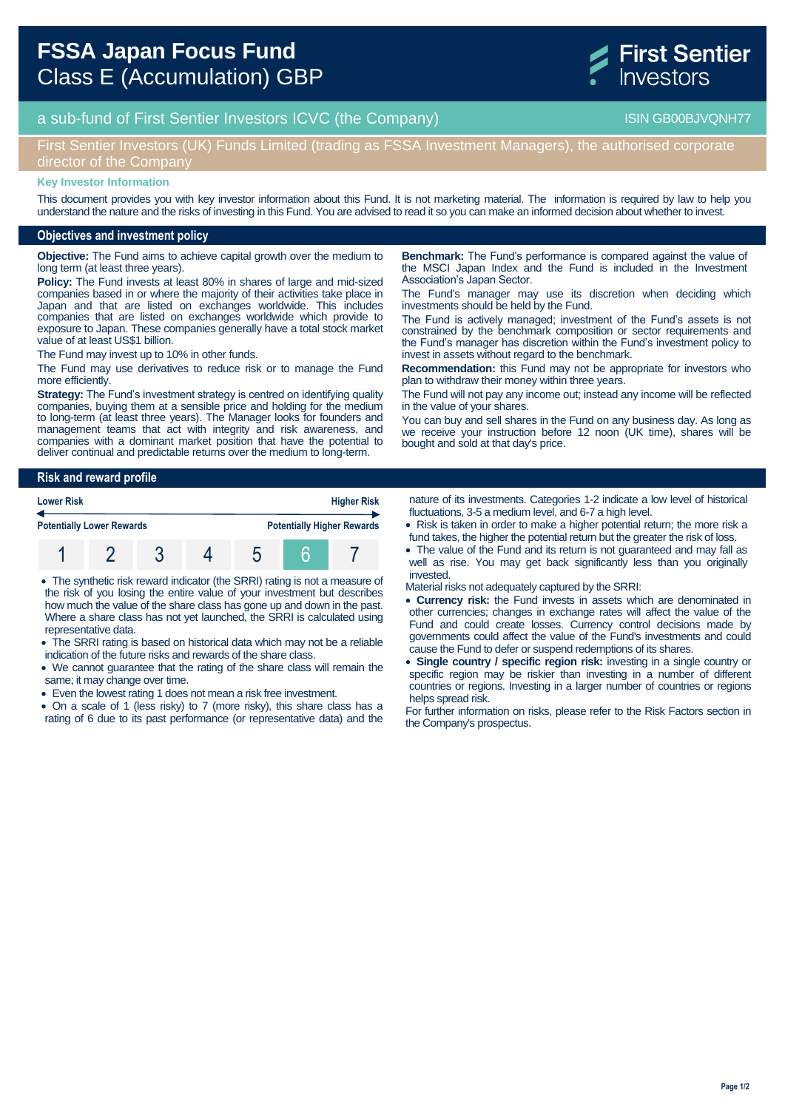

# a sub-fund of First Sentier Investors ICVC (the Company) and the Company ISIN GB00BJVQNH77

First Sentier Investors (UK) Funds Limited (trading as FSSA Investment Managers), the authorised corporate director of the Company

#### **Key Investor Information**

This document provides you with key investor information about this Fund. It is not marketing material. The information is required by law to help you understand the nature and the risks of investing in this Fund. You are advised to read it so you can make an informed decision about whether to invest.

### **Objectives and investment policy**

**Objective:** The Fund aims to achieve capital growth over the medium to long term (at least three years).

**Policy:** The Fund invests at least 80% in shares of large and mid-sized companies based in or where the majority of their activities take place in Japan and that are listed on exchanges worldwide. This includes companies that are listed on exchanges worldwide which provide to exposure to Japan. These companies generally have a total stock market value of at least US\$1 billion.

The Fund may invest up to 10% in other funds.

The Fund may use derivatives to reduce risk or to manage the Fund more efficiently.

**Strategy:** The Fund's investment strategy is centred on identifying quality companies, buying them at a sensible price and holding for the medium to long-term (at least three years). The Manager looks for founders and management teams that act with integrity and risk awareness, and companies with a dominant market position that have the potential to deliver continual and predictable returns over the medium to long-term.

**Benchmark:** The Fund's performance is compared against the value of the MSCI Japan Index and the Fund is included in the Investment Association's Japan Sector.

The Fund's manager may use its discretion when deciding which investments should be held by the Fund.

The Fund is actively managed; investment of the Fund's assets is not constrained by the benchmark composition or sector requirements and the Fund's manager has discretion within the Fund's investment policy to invest in assets without regard to the benchmark.

**Recommendation:** this Fund may not be appropriate for investors who plan to withdraw their money within three years.

The Fund will not pay any income out; instead any income will be reflected in the value of your shares.

You can buy and sell shares in the Fund on any business day. As long as we receive your instruction before 12 noon (UK time), shares will be bought and sold at that day's price.

#### **Risk and reward profile**

| <b>Lower Risk</b>                |  |  |  | <b>Higher Risk</b>                |  |  |  |
|----------------------------------|--|--|--|-----------------------------------|--|--|--|
| <b>Potentially Lower Rewards</b> |  |  |  | <b>Potentially Higher Rewards</b> |  |  |  |
|                                  |  |  |  |                                   |  |  |  |

- The synthetic risk reward indicator (the SRRI) rating is not a measure of the risk of you losing the entire value of your investment but describes how much the value of the share class has gone up and down in the past. Where a share class has not yet launched, the SRRI is calculated using representative data.
- The SRRI rating is based on historical data which may not be a reliable indication of the future risks and rewards of the share class.
- We cannot guarantee that the rating of the share class will remain the same; it may change over time.
- Even the lowest rating 1 does not mean a risk free investment.

 On a scale of 1 (less risky) to 7 (more risky), this share class has a rating of 6 due to its past performance (or representative data) and the nature of its investments. Categories 1-2 indicate a low level of historical fluctuations, 3-5 a medium level, and 6-7 a high level.

- Risk is taken in order to make a higher potential return; the more risk a fund takes, the higher the potential return but the greater the risk of loss.
- The value of the Fund and its return is not guaranteed and may fall as well as rise. You may get back significantly less than you originally invested.

Material risks not adequately captured by the SRRI:

- **Currency risk:** the Fund invests in assets which are denominated in other currencies; changes in exchange rates will affect the value of the Fund and could create losses. Currency control decisions made by governments could affect the value of the Fund's investments and could cause the Fund to defer or suspend redemptions of its shares.
- **Single country / specific region risk:** investing in a single country or specific region may be riskier than investing in a number of different countries or regions. Investing in a larger number of countries or regions helps spread risk.

For further information on risks, please refer to the Risk Factors section in the Company's prospectus.